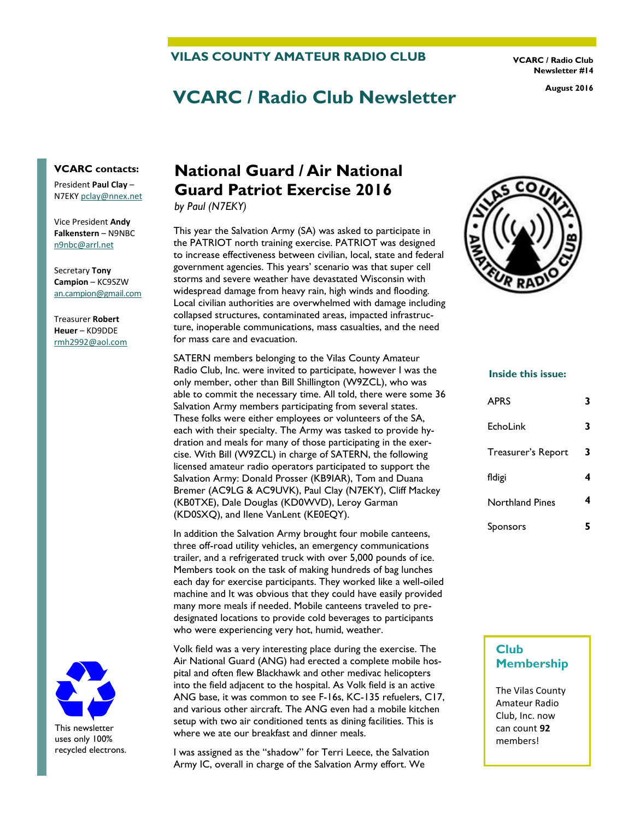**VILAS COUNTY AMATEUR RADIO CLUB** 

**VCARC / Radio Club Newsletter #14** 

# **VCARC / Radio Club Newsletter August 2016**

#### **VCARC contacts:**

President **Paul Clay** – N7EKY [pclay@nnex.net](mailto:pclay@nnex.net)

Vice President **Andy Falkenstern** – N9NBC [n9nbc@arrl.net](mailto:n9nbc@arrl.net)

Secretary **Tony Campion** – KC9SZW [an.campion@gmail.com](mailto:an.campion@gmail.com)

Treasurer **Robert Heuer** – KD9DDE rmh2992@aol.com



uses only 100% recycled electrons.

## **National Guard / Air National Guard Patriot Exercise 2016**

*by Paul (N7EKY)*

This year the Salvation Army (SA) was asked to participate in the PATRIOT north training exercise. PATRIOT was designed to increase effectiveness between civilian, local, state and federal government agencies. This years' scenario was that super cell storms and severe weather have devastated Wisconsin with widespread damage from heavy rain, high winds and flooding. Local civilian authorities are overwhelmed with damage including collapsed structures, contaminated areas, impacted infrastructure, inoperable communications, mass casualties, and the need for mass care and evacuation.

SATERN members belonging to the Vilas County Amateur Radio Club, Inc. were invited to participate, however I was the only member, other than Bill Shillington (W9ZCL), who was able to commit the necessary time. All told, there were some 36 Salvation Army members participating from several states. These folks were either employees or volunteers of the SA, each with their specialty. The Army was tasked to provide hydration and meals for many of those participating in the exercise. With Bill (W9ZCL) in charge of SATERN, the following licensed amateur radio operators participated to support the Salvation Army: Donald Prosser (KB9IAR), Tom and Duana Bremer (AC9LG & AC9UVK), Paul Clay (N7EKY), Cliff Mackey (KB0TXE), Dale Douglas (KD0WVD), Leroy Garman (KD0SXQ), and Ilene VanLent (KE0EQY).

In addition the Salvation Army brought four mobile canteens, three off-road utility vehicles, an emergency communications trailer, and a refrigerated truck with over 5,000 pounds of ice. Members took on the task of making hundreds of bag lunches each day for exercise participants. They worked like a well-oiled machine and It was obvious that they could have easily provided many more meals if needed. Mobile canteens traveled to predesignated locations to provide cold beverages to participants who were experiencing very hot, humid, weather.

Volk field was a very interesting place during the exercise. The Air National Guard (ANG) had erected a complete mobile hospital and often flew Blackhawk and other medivac helicopters into the field adjacent to the hospital. As Volk field is an active ANG base, it was common to see F-16s, KC-135 refuelers, C17, and various other aircraft. The ANG even had a mobile kitchen setup with two air conditioned tents as dining facilities. This is where we ate our breakfast and dinner meals.

I was assigned as the "shadow" for Terri Leece, the Salvation Army IC, overall in charge of the Salvation Army effort. We



#### **Inside this issue:**

| <b>APRS</b>        | 3 |
|--------------------|---|
| <b>EchoLink</b>    | 3 |
| Treasurer's Report | 3 |
| fldigi             | 4 |
| Northland Pines    | 4 |
| Sponsors           | 5 |

#### **Club Membership**

The Vilas County Amateur Radio Club, Inc. now can count **92** members!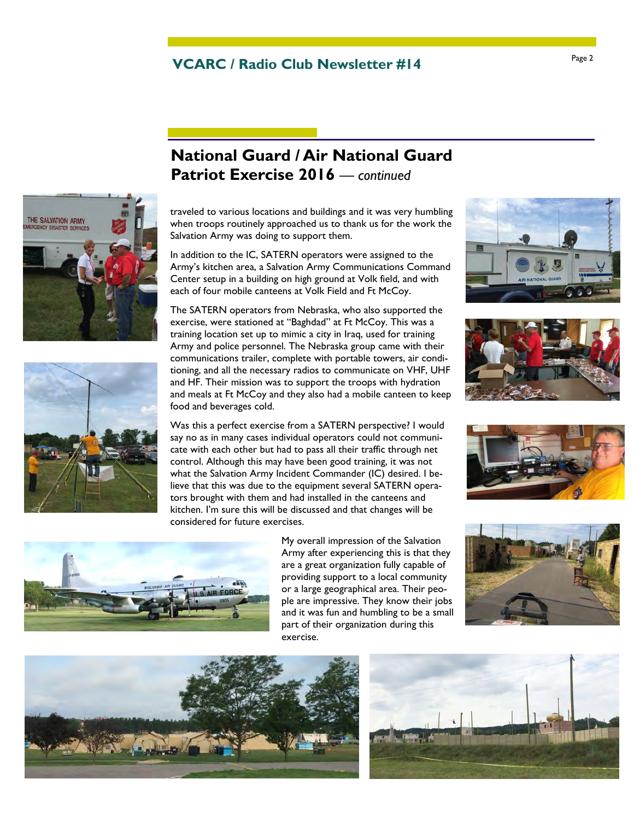## Page 2 **VCARC / Radio Club Newsletter #14**



traveled to various locations and buildings and it was very humbling when troops routinely approached us to thank us for the work the Salvation Army was doing to support them.

**National Guard / Air National Guard** 

In addition to the IC, SATERN operators were assigned to the Army's kitchen area, a Salvation Army Communications Command Center setup in a building on high ground at Volk field, and with each of four mobile canteens at Volk Field and Ft McCoy.

The SATERN operators from Nebraska, who also supported the exercise, were stationed at "Baghdad" at Ft McCoy. This was a training location set up to mimic a city in Iraq, used for training Army and police personnel. The Nebraska group came with their communications trailer, complete with portable towers, air conditioning, and all the necessary radios to communicate on VHF, UHF and HF. Their mission was to support the troops with hydration and meals at Ft McCoy and they also had a mobile canteen to keep food and beverages cold.

Was this a perfect exercise from a SATERN perspective? I would say no as in many cases individual operators could not communicate with each other but had to pass all their traffic through net control. Although this may have been good training, it was not what the Salvation Army Incident Commander (IC) desired. I believe that this was due to the equipment several SATERN operators brought with them and had installed in the canteens and kitchen. I'm sure this will be discussed and that changes will be considered for future exercises.









THE SALVATION ARMY

My overall impression of the Salvation Army after experiencing this is that they are a great organization fully capable of providing support to a local community or a large geographical area. Their people are impressive. They know their jobs and it was fun and humbling to be a small part of their organization during this exercise.





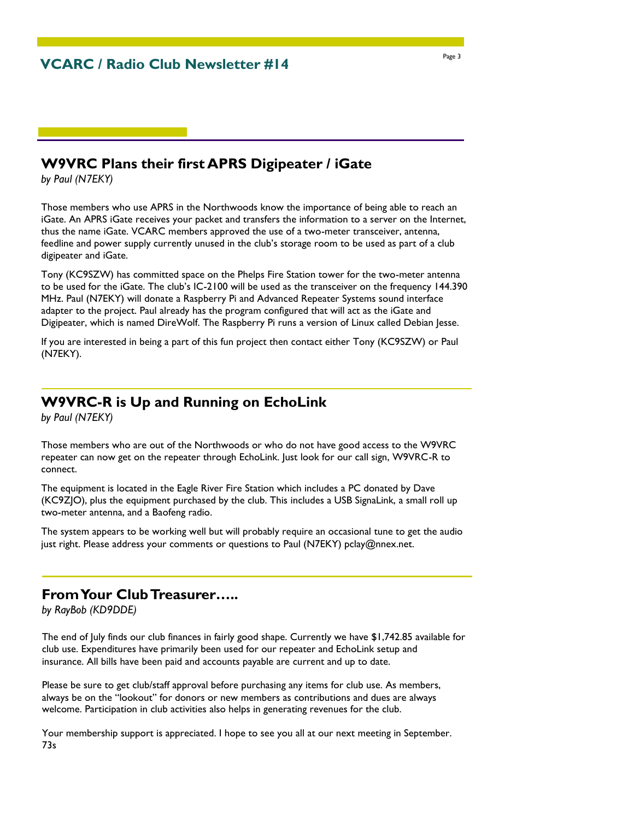### **W9VRC Plans their first APRS Digipeater / iGate**

*by Paul (N7EKY)*

Those members who use APRS in the Northwoods know the importance of being able to reach an iGate. An APRS iGate receives your packet and transfers the information to a server on the Internet, thus the name iGate. VCARC members approved the use of a two-meter transceiver, antenna, feedline and power supply currently unused in the club's storage room to be used as part of a club digipeater and iGate.

Tony (KC9SZW) has committed space on the Phelps Fire Station tower for the two-meter antenna to be used for the iGate. The club's IC-2100 will be used as the transceiver on the frequency 144.390 MHz. Paul (N7EKY) will donate a Raspberry Pi and Advanced Repeater Systems sound interface adapter to the project. Paul already has the program configured that will act as the iGate and Digipeater, which is named DireWolf. The Raspberry Pi runs a version of Linux called Debian Jesse.

If you are interested in being a part of this fun project then contact either Tony (KC9SZW) or Paul (N7EKY).

#### **W9VRC-R is Up and Running on EchoLink**

*by Paul (N7EKY)*

Those members who are out of the Northwoods or who do not have good access to the W9VRC repeater can now get on the repeater through EchoLink. Just look for our call sign, W9VRC-R to connect.

The equipment is located in the Eagle River Fire Station which includes a PC donated by Dave (KC9ZJO), plus the equipment purchased by the club. This includes a USB SignaLink, a small roll up two-meter antenna, and a Baofeng radio.

The system appears to be working well but will probably require an occasional tune to get the audio just right. Please address your comments or questions to Paul (N7EKY) pclay@nnex.net.

#### **From Your Club Treasurer…..**

*by RayBob (KD9DDE)*

The end of July finds our club finances in fairly good shape. Currently we have \$1,742.85 available for club use. Expenditures have primarily been used for our repeater and EchoLink setup and insurance. All bills have been paid and accounts payable are current and up to date.

Please be sure to get club/staff approval before purchasing any items for club use. As members, always be on the "lookout" for donors or new members as contributions and dues are always welcome. Participation in club activities also helps in generating revenues for the club.

Your membership support is appreciated. I hope to see you all at our next meeting in September. 73s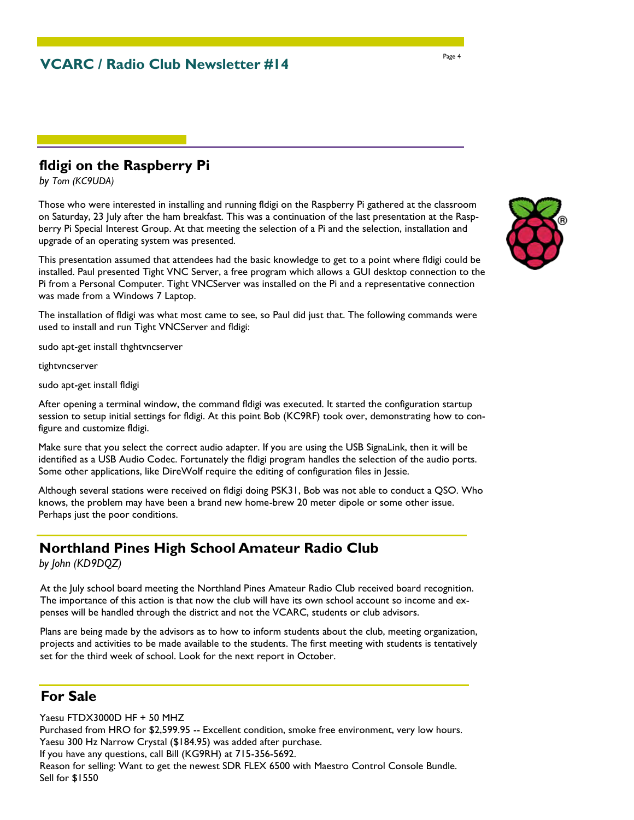#### **fldigi on the Raspberry Pi**

*by Tom (KC9UDA)*

Those who were interested in installing and running fldigi on the Raspberry Pi gathered at the classroom on Saturday, 23 July after the ham breakfast. This was a continuation of the last presentation at the Raspberry Pi Special Interest Group. At that meeting the selection of a Pi and the selection, installation and upgrade of an operating system was presented.

This presentation assumed that attendees had the basic knowledge to get to a point where fldigi could be installed. Paul presented Tight VNC Server, a free program which allows a GUI desktop connection to the Pi from a Personal Computer. Tight VNCServer was installed on the Pi and a representative connection was made from a Windows 7 Laptop.

The installation of fldigi was what most came to see, so Paul did just that. The following commands were used to install and run Tight VNCServer and fldigi:

sudo apt-get install thghtvncserver

tightvncserver

sudo apt-get install fldigi

After opening a terminal window, the command fldigi was executed. It started the configuration startup session to setup initial settings for fldigi. At this point Bob (KC9RF) took over, demonstrating how to configure and customize fldigi.

Make sure that you select the correct audio adapter. If you are using the USB SignaLink, then it will be identified as a USB Audio Codec. Fortunately the fldigi program handles the selection of the audio ports. Some other applications, like DireWolf require the editing of configuration files in Jessie.

Although several stations were received on fldigi doing PSK31, Bob was not able to conduct a QSO. Who knows, the problem may have been a brand new home-brew 20 meter dipole or some other issue. Perhaps just the poor conditions.

### **Northland Pines High School Amateur Radio Club**

*by John (KD9DQZ)* 

At the July school board meeting the Northland Pines Amateur Radio Club received board recognition. The importance of this action is that now the club will have its own school account so income and expenses will be handled through the district and not the VCARC, students or club advisors.

Plans are being made by the advisors as to how to inform students about the club, meeting organization, projects and activities to be made available to the students. The first meeting with students is tentatively set for the third week of school. Look for the next report in October.

### **For Sale**

Yaesu FTDX3000D HF + 50 MHZ Purchased from HRO for \$2,599.95 -- Excellent condition, smoke free environment, very low hours. Yaesu 300 Hz Narrow Crystal (\$184.95) was added after purchase. If you have any questions, call Bill (KG9RH) at 715-356-5692. Reason for selling: Want to get the newest SDR FLEX 6500 with Maestro Control Console Bundle. Sell for \$1550